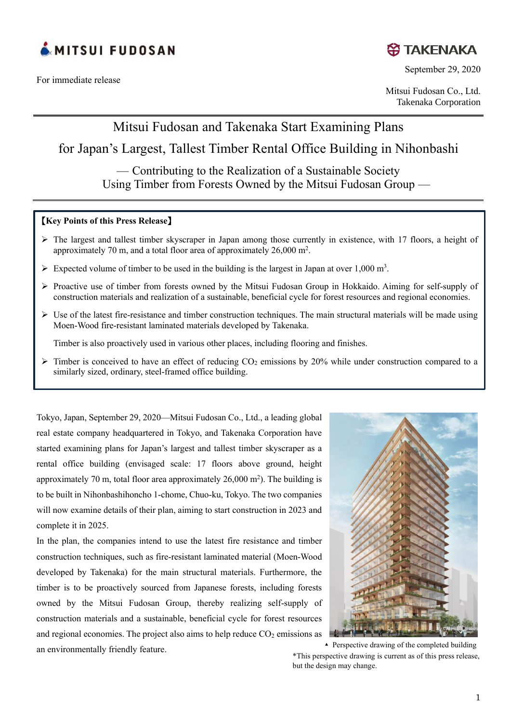

For immediate release



September 29, 2020

Mitsui Fudosan Co., Ltd. Takenaka Corporation

Mitsui Fudosan and Takenaka Start Examining Plans

# for Japan's Largest, Tallest Timber Rental Office Building in Nihonbashi

— Contributing to the Realization of a Sustainable Society Using Timber from Forests Owned by the Mitsui Fudosan Group —

### 【**Key Points of this Press Release**】

- ➢ The largest and tallest timber skyscraper in Japan among those currently in existence, with 17 floors, a height of approximately 70 m, and a total floor area of approximately  $26,000$  m<sup>2</sup>.
- $\triangleright$  Expected volume of timber to be used in the building is the largest in Japan at over 1,000 m<sup>3</sup>.
- ➢ Proactive use of timber from forests owned by the Mitsui Fudosan Group in Hokkaido. Aiming for self-supply of construction materials and realization of a sustainable, beneficial cycle for forest resources and regional economies.
- $\triangleright$  Use of the latest fire-resistance and timber construction techniques. The main structural materials will be made using Moen-Wood fire-resistant laminated materials developed by Takenaka.

Timber is also proactively used in various other places, including flooring and finishes.

 $\triangleright$  Timber is conceived to have an effect of reducing CO<sub>2</sub> emissions by 20% while under construction compared to a similarly sized, ordinary, steel-framed office building.

Tokyo, Japan, September 29, 2020—Mitsui Fudosan Co., Ltd., a leading global real estate company headquartered in Tokyo, and Takenaka Corporation have started examining plans for Japan's largest and tallest timber skyscraper as a rental office building (envisaged scale: 17 floors above ground, height approximately 70 m, total floor area approximately 26,000 m<sup>2</sup> ). The building is to be built in Nihonbashihoncho 1-chome, Chuo-ku, Tokyo. The two companies will now examine details of their plan, aiming to start construction in 2023 and complete it in 2025.

In the plan, the companies intend to use the latest fire resistance and timber construction techniques, such as fire-resistant laminated material (Moen-Wood developed by Takenaka) for the main structural materials. Furthermore, the timber is to be proactively sourced from Japanese forests, including forests owned by the Mitsui Fudosan Group, thereby realizing self-supply of construction materials and a sustainable, beneficial cycle for forest resources and regional economies. The project also aims to help reduce  $CO<sub>2</sub>$  emissions as an environmentally friendly feature.



\*This perspective drawing is current as of this press release, but the design may change. ▴ Perspective drawing of the completed building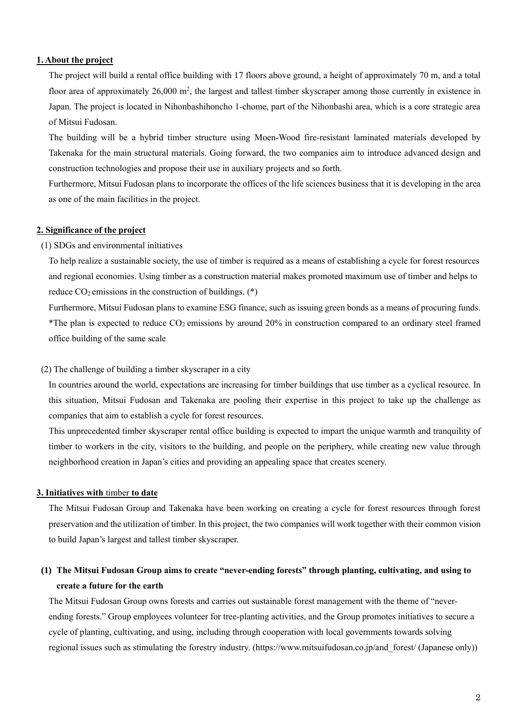### **1. About the project**

The project will build a rental office building with 17 floors above ground, a height of approximately 70 m, and a total floor area of approximately 26,000 m<sup>2</sup>, the largest and tallest timber skyscraper among those currently in existence in Japan. The project is located in Nihonbashihoncho 1-chome, part of the Nihonbashi area, which is a core strategic area of Mitsui Fudosan.

The building will be a hybrid timber structure using Moen-Wood fire-resistant laminated materials developed by Takenaka for the main structural materials. Going forward, the two companies aim to introduce advanced design and construction technologies and propose their use in auxiliary projects and so forth.

Furthermore, Mitsui Fudosan plans to incorporate the offices of the life sciences business that it is developing in the area as one of the main facilities in the project.

### **2. Significance of the project**

#### (1) SDGs and environmental initiatives

To help realize a sustainable society, the use of timber is required as a means of establishing a cycle for forest resources and regional economies. Using timber as a construction material makes promoted maximum use of timber and helps to reduce  $CO<sub>2</sub>$  emissions in the construction of buildings.  $(*)$ 

Furthermore, Mitsui Fudosan plans to examine ESG finance, such as issuing green bonds as a means of procuring funds. \*The plan is expected to reduce  $CO_2$  emissions by around 20% in construction compared to an ordinary steel framed office building of the same scale

#### (2) The challenge of building a timber skyscraper in a city

In countries around the world, expectations are increasing for timber buildings that use timber as a cyclical resource. In this situation, Mitsui Fudosan and Takenaka are pooling their expertise in this project to take up the challenge as companies that aim to establish a cycle for forest resources.

This unprecedented timber skyscraper rental office building is expected to impart the unique warmth and tranquility of timber to workers in the city, visitors to the building, and people on the periphery, while creating new value through neighborhood creation in Japan's cities and providing an appealing space that creates scenery.

#### **3. Initiatives with** timber **to date**

The Mitsui Fudosan Group and Takenaka have been working on creating a cycle for forest resources through forest preservation and the utilization of timber. In this project, the two companies will work together with their common vision to build Japan's largest and tallest timber skyscraper.

## **(1) The Mitsui Fudosan Group aims to create "never-ending forests" through planting, cultivating, and using to create a future for the earth**

The Mitsui Fudosan Group owns forests and carries out sustainable forest management with the theme of "neverending forests." Group employees volunteer for tree-planting activities, and the Group promotes initiatives to secure a cycle of planting, cultivating, and using, including through cooperation with local governments towards solving regional issues such as stimulating the forestry industry. [\(https://www.mitsuifudosan.co.jp/and\\_forest/](https://www.mitsuifudosan.co.jp/and_forest/) (Japanese only))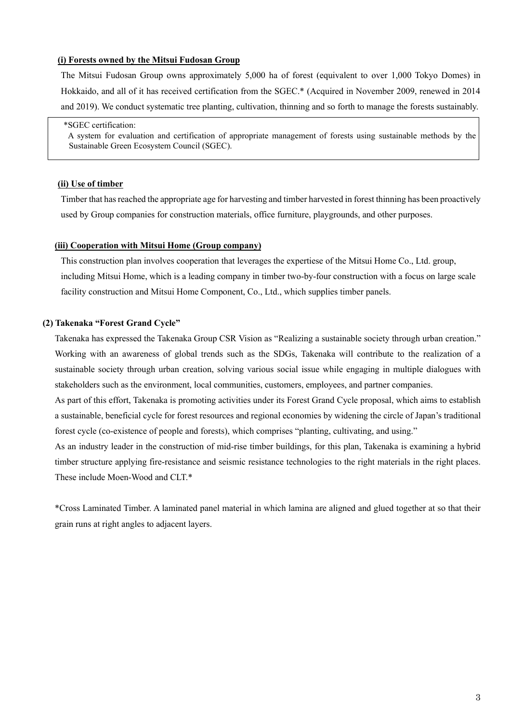#### **(i) Forests owned by the Mitsui Fudosan Group**

The Mitsui Fudosan Group owns approximately 5,000 ha of forest (equivalent to over 1,000 Tokyo Domes) in Hokkaido, and all of it has received certification from the SGEC.\* (Acquired in November 2009, renewed in 2014 and 2019). We conduct systematic tree planting, cultivation, thinning and so forth to manage the forests sustainably.

#### \*SGEC certification:

A system for evaluation and certification of appropriate management of forests using sustainable methods by the Sustainable Green Ecosystem Council (SGEC).

#### **(ii) Use of timber**

Timber that has reached the appropriate age for harvesting and timber harvested in forest thinning has been proactively used by Group companies for construction materials, office furniture, playgrounds, and other purposes.

#### **(iii) Cooperation with Mitsui Home (Group company)**

This construction plan involves cooperation that leverages the expertiese of the Mitsui Home Co., Ltd. group, including Mitsui Home, which is a leading company in timber two-by-four construction with a focus on large scale facility construction and Mitsui Home Component, Co., Ltd., which supplies timber panels.

#### **(2) Takenaka "Forest Grand Cycle"**

Takenaka has expressed the Takenaka Group CSR Vision as "Realizing a sustainable society through urban creation." Working with an awareness of global trends such as the SDGs, Takenaka will contribute to the realization of a sustainable society through urban creation, solving various social issue while engaging in multiple dialogues with stakeholders such as the environment, local communities, customers, employees, and partner companies.

As part of this effort, Takenaka is promoting activities under its Forest Grand Cycle proposal, which aims to establish a sustainable, beneficial cycle for forest resources and regional economies by widening the circle of Japan's traditional forest cycle (co-existence of people and forests), which comprises "planting, cultivating, and using."

As an industry leader in the construction of mid-rise timber buildings, for this plan, Takenaka is examining a hybrid timber structure applying fire-resistance and seismic resistance technologies to the right materials in the right places. These include Moen-Wood and CLT.\*

\*Cross Laminated Timber. A laminated panel material in which lamina are aligned and glued together at so that their grain runs at right angles to adjacent layers.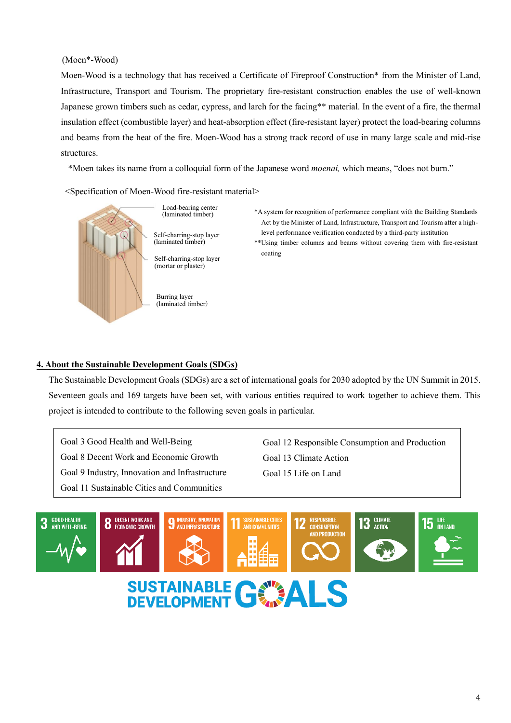### (Moen\*-Wood)

Moen-Wood is a technology that has received a Certificate of Fireproof Construction\* from the Minister of Land, Infrastructure, Transport and Tourism. The proprietary fire-resistant construction enables the use of well-known Japanese grown timbers such as cedar, cypress, and larch for the facing\*\* material. In the event of a fire, the thermal insulation effect (combustible layer) and heat-absorption effect (fire-resistant layer) protect the load-bearing columns and beams from the heat of the fire. Moen-Wood has a strong track record of use in many large scale and mid-rise structures.

\*Moen takes its name from a colloquial form of the Japanese word *moenai,* which means, "does not burn."

<Specification of Moen-Wood fire-resistant material>



Load-bearing center (laminated timber)

Self-charring-stop layer (laminated timber)

Self-charring-stop layer (mortar or plaster)

Burring layer (laminated timber) \*A system for recognition of performance compliant with the Building Standards Act by the Minister of Land, Infrastructure, Transport and Tourism after a highlevel performance verification conducted by a third-party institution

\*\*Using timber columns and beams without covering them with fire-resistant coating

### **4. About the Sustainable Development Goals (SDGs)**

The Sustainable Development Goals (SDGs) are a set of international goals for 2030 adopted by the UN Summit in 2015. Seventeen goals and 169 targets have been set, with various entities required to work together to achieve them. This project is intended to contribute to the following seven goals in particular.

Goal 3 Good Health and Well-Being Goal 8 Decent Work and Economic Growth Goal 9 Industry, Innovation and Infrastructure Goal 11 Sustainable Cities and Communities

Goal 12 Responsible Consumption and Production Goal 13 Climate Action Goal 15 Life on Land